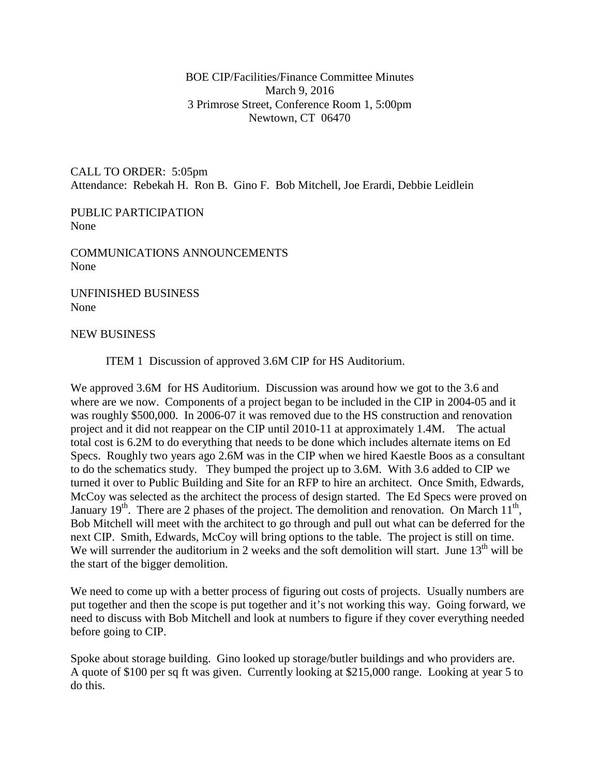BOE CIP/Facilities/Finance Committee Minutes March 9, 2016 3 Primrose Street, Conference Room 1, 5:00pm Newtown, CT 06470

CALL TO ORDER: 5:05pm Attendance: Rebekah H. Ron B. Gino F. Bob Mitchell, Joe Erardi, Debbie Leidlein

PUBLIC PARTICIPATION None

COMMUNICATIONS ANNOUNCEMENTS None

UNFINISHED BUSINESS None

## NEW BUSINESS

ITEM 1 Discussion of approved 3.6M CIP for HS Auditorium.

We approved 3.6M for HS Auditorium. Discussion was around how we got to the 3.6 and where are we now. Components of a project began to be included in the CIP in 2004-05 and it was roughly \$500,000. In 2006-07 it was removed due to the HS construction and renovation project and it did not reappear on the CIP until 2010-11 at approximately 1.4M. The actual total cost is 6.2M to do everything that needs to be done which includes alternate items on Ed Specs. Roughly two years ago 2.6M was in the CIP when we hired Kaestle Boos as a consultant to do the schematics study. They bumped the project up to 3.6M. With 3.6 added to CIP we turned it over to Public Building and Site for an RFP to hire an architect. Once Smith, Edwards, McCoy was selected as the architect the process of design started. The Ed Specs were proved on January 19<sup>th</sup>. There are 2 phases of the project. The demolition and renovation. On March  $11<sup>th</sup>$ , Bob Mitchell will meet with the architect to go through and pull out what can be deferred for the next CIP. Smith, Edwards, McCoy will bring options to the table. The project is still on time. We will surrender the auditorium in 2 weeks and the soft demolition will start. June  $13<sup>th</sup>$  will be the start of the bigger demolition.

We need to come up with a better process of figuring out costs of projects. Usually numbers are put together and then the scope is put together and it's not working this way. Going forward, we need to discuss with Bob Mitchell and look at numbers to figure if they cover everything needed before going to CIP.

Spoke about storage building. Gino looked up storage/butler buildings and who providers are. A quote of \$100 per sq ft was given. Currently looking at \$215,000 range. Looking at year 5 to do this.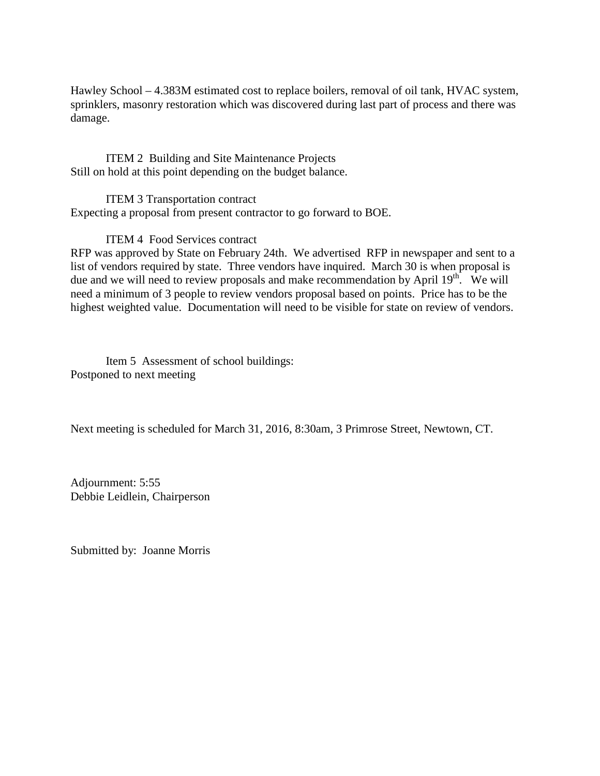Hawley School – 4.383M estimated cost to replace boilers, removal of oil tank, HVAC system, sprinklers, masonry restoration which was discovered during last part of process and there was damage.

ITEM 2 Building and Site Maintenance Projects Still on hold at this point depending on the budget balance.

ITEM 3 Transportation contract Expecting a proposal from present contractor to go forward to BOE.

ITEM 4 Food Services contract

RFP was approved by State on February 24th. We advertised RFP in newspaper and sent to a list of vendors required by state. Three vendors have inquired. March 30 is when proposal is due and we will need to review proposals and make recommendation by April  $19<sup>th</sup>$ . We will need a minimum of 3 people to review vendors proposal based on points. Price has to be the highest weighted value. Documentation will need to be visible for state on review of vendors.

Item 5 Assessment of school buildings: Postponed to next meeting

Next meeting is scheduled for March 31, 2016, 8:30am, 3 Primrose Street, Newtown, CT.

Adjournment: 5:55 Debbie Leidlein, Chairperson

Submitted by: Joanne Morris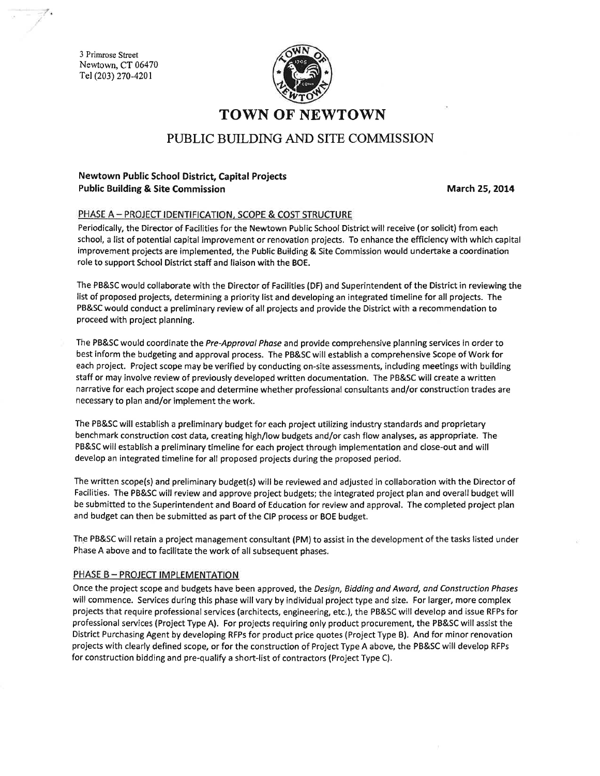3 Primrose Street Newtown, CT 06470 Tel (203) 270-4201



# **TOWN OF NEWTOWN**

## PUBLIC BUILDING AND SITE COMMISSION

### Newtown Public School District, Capital Projects **Public Building & Site Commission**

March 25, 2014

#### PHASE A - PROJECT IDENTIFICATION, SCOPE & COST STRUCTURE

Periodically, the Director of Facilities for the Newtown Public School District will receive (or solicit) from each school, a list of potential capital improvement or renovation projects. To enhance the efficiency with which capital improvement projects are implemented, the Public Building & Site Commission would undertake a coordination role to support School District staff and liaison with the BOE.

The PB&SC would collaborate with the Director of Facilities (DF) and Superintendent of the District in reviewing the list of proposed projects, determining a priority list and developing an integrated timeline for all projects. The PB&SC would conduct a preliminary review of all projects and provide the District with a recommendation to proceed with project planning.

The PB&SC would coordinate the Pre-Approval Phase and provide comprehensive planning services in order to best inform the budgeting and approval process. The PB&SC will establish a comprehensive Scope of Work for each project. Project scope may be verified by conducting on-site assessments, including meetings with building staff or may involve review of previously developed written documentation. The PB&SC will create a written narrative for each project scope and determine whether professional consultants and/or construction trades are necessary to plan and/or implement the work.

The PB&SC will establish a preliminary budget for each project utilizing industry standards and proprietary benchmark construction cost data, creating high/low budgets and/or cash flow analyses, as appropriate. The PB&SC will establish a preliminary timeline for each project through implementation and close-out and will develop an integrated timeline for all proposed projects during the proposed period.

The written scope(s) and preliminary budget(s) will be reviewed and adjusted in collaboration with the Director of Facilities. The PB&SC will review and approve project budgets; the integrated project plan and overall budget will be submitted to the Superintendent and Board of Education for review and approval. The completed project plan and budget can then be submitted as part of the CIP process or BOE budget.

The PB&SC will retain a project management consultant (PM) to assist in the development of the tasks listed under Phase A above and to facilitate the work of all subsequent phases.

#### PHASE B - PROJECT IMPLEMENTATION

Once the project scope and budgets have been approved, the Design, Bidding and Award, and Construction Phases will commence. Services during this phase will vary by individual project type and size. For larger, more complex projects that require professional services (architects, engineering, etc.), the PB&SC will develop and issue RFPs for professional services (Project Type A). For projects requiring only product procurement, the PB&SC will assist the District Purchasing Agent by developing RFPs for product price quotes (Project Type B). And for minor renovation projects with clearly defined scope, or for the construction of Project Type A above, the PB&SC will develop RFPs for construction bidding and pre-qualify a short-list of contractors (Project Type C).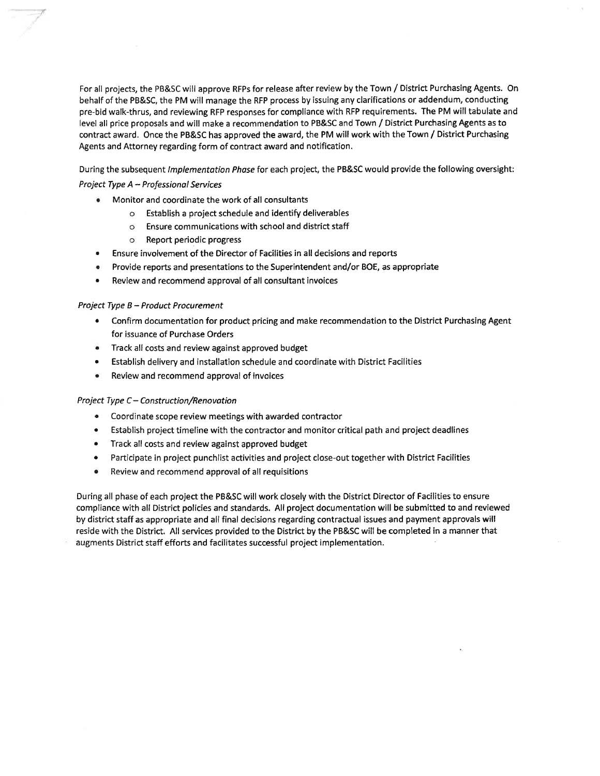For all projects, the PB&SC will approve RFPs for release after review by the Town / District Purchasing Agents. On behalf of the PB&SC, the PM will manage the RFP process by issuing any clarifications or addendum, conducting pre-bid walk-thrus, and reviewing RFP responses for compliance with RFP requirements. The PM will tabulate and level all price proposals and will make a recommendation to PB&SC and Town / District Purchasing Agents as to contract award. Once the PB&SC has approved the award, the PM will work with the Town / District Purchasing Agents and Attorney regarding form of contract award and notification.

During the subsequent Implementation Phase for each project, the PB&SC would provide the following oversight:

#### Project Type A - Professional Services

- Monitor and coordinate the work of all consultants
	- o Establish a project schedule and identify deliverables
	- o Ensure communications with school and district staff
	- o Report periodic progress
- Ensure involvement of the Director of Facilities in all decisions and reports
- Provide reports and presentations to the Superintendent and/or BOE, as appropriate
- Review and recommend approval of all consultant invoices

#### Project Type B - Product Procurement

- Confirm documentation for product pricing and make recommendation to the District Purchasing Agent for issuance of Purchase Orders
- Track all costs and review against approved budget
- Establish delivery and installation schedule and coordinate with District Facilities
- Review and recommend approval of invoices

#### Project Type C - Construction/Renovation

- $\bullet$ Coordinate scope review meetings with awarded contractor
- Establish project timeline with the contractor and monitor critical path and project deadlines
- $\bullet$ Track all costs and review against approved budget
- Participate in project punchlist activities and project close-out together with District Facilities  $\bullet$
- Review and recommend approval of all requisitions

During all phase of each project the PB&SC will work closely with the District Director of Facilities to ensure compliance with all District policies and standards. All project documentation will be submitted to and reviewed by district staff as appropriate and all final decisions regarding contractual issues and payment approvals will reside with the District. All services provided to the District by the PB&SC will be completed in a manner that augments District staff efforts and facilitates successful project implementation.